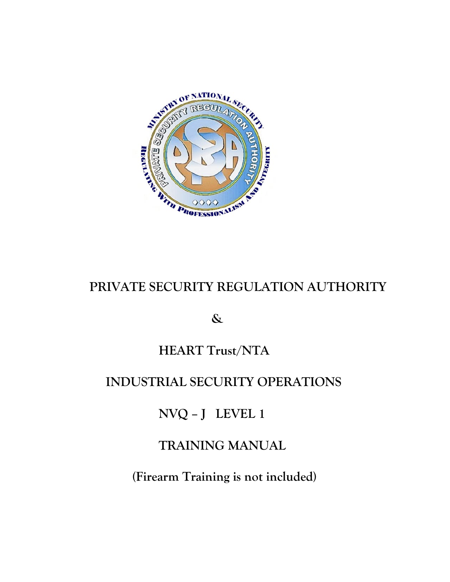

# **PRIVATE SECURITY REGULATION AUTHORITY**

### **&**

# **HEART Trust/NTA**

# **INDUSTRIAL SECURITY OPERATIONS**

**NVQ – J LEVEL 1**

# **TRAINING MANUAL**

**(Firearm Training is not included)**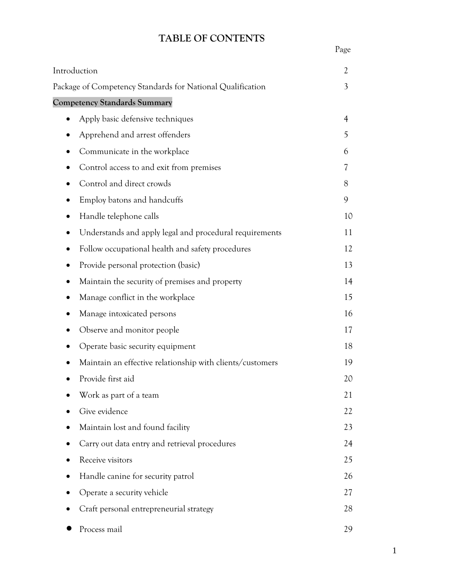### **TABLE OF CONTENTS**

| Introduction                                               | 2              |
|------------------------------------------------------------|----------------|
| Package of Competency Standards for National Qualification | 3              |
| <b>Competency Standards Summary</b>                        |                |
| Apply basic defensive techniques                           | $\overline{4}$ |
| Apprehend and arrest offenders                             | 5              |
| Communicate in the workplace                               | 6              |
| Control access to and exit from premises                   | 7              |
| Control and direct crowds                                  | 8              |
| Employ batons and handcuffs                                | 9              |
| Handle telephone calls                                     | 10             |
| Understands and apply legal and procedural requirements    | 11             |
| Follow occupational health and safety procedures           | 12             |
| Provide personal protection (basic)                        | 13             |
| Maintain the security of premises and property             | 14             |
| Manage conflict in the workplace                           | 15             |
| Manage intoxicated persons                                 | 16             |
| Observe and monitor people                                 | 17             |
| Operate basic security equipment                           | 18             |
| Maintain an effective relationship with clients/customers  | 19             |
| Provide first aid                                          | 20             |
| Work as part of a team                                     | 21             |
| Give evidence                                              | 22             |
| Maintain lost and found facility                           | 23             |
| Carry out data entry and retrieval procedures              | 24             |
| Receive visitors                                           | 25             |
| Handle canine for security patrol                          | 26             |
| Operate a security vehicle                                 | 27             |
| Craft personal entrepreneurial strategy                    | 28             |
| Process mail                                               | 29             |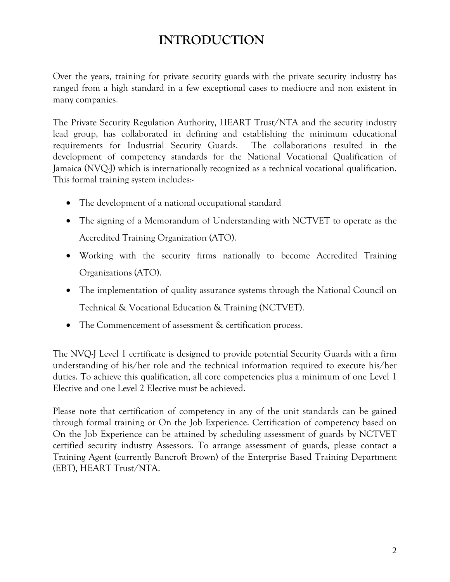# **INTRODUCTION**

Over the years, training for private security guards with the private security industry has ranged from a high standard in a few exceptional cases to mediocre and non existent in many companies.

The Private Security Regulation Authority, HEART Trust/NTA and the security industry lead group, has collaborated in defining and establishing the minimum educational requirements for Industrial Security Guards. The collaborations resulted in the development of competency standards for the National Vocational Qualification of Jamaica (NVQ-J) which is internationally recognized as a technical vocational qualification. This formal training system includes:-

- The development of a national occupational standard
- The signing of a Memorandum of Understanding with NCTVET to operate as the Accredited Training Organization (ATO).
- Working with the security firms nationally to become Accredited Training Organizations (ATO).
- The implementation of quality assurance systems through the National Council on Technical & Vocational Education & Training (NCTVET).
- The Commencement of assessment & certification process.

The NVQ-J Level 1 certificate is designed to provide potential Security Guards with a firm understanding of his/her role and the technical information required to execute his/her duties. To achieve this qualification, all core competencies plus a minimum of one Level 1 Elective and one Level 2 Elective must be achieved.

Please note that certification of competency in any of the unit standards can be gained through formal training or On the Job Experience. Certification of competency based on On the Job Experience can be attained by scheduling assessment of guards by NCTVET certified security industry Assessors. To arrange assessment of guards, please contact a Training Agent (currently Bancroft Brown) of the Enterprise Based Training Department (EBT), HEART Trust/NTA.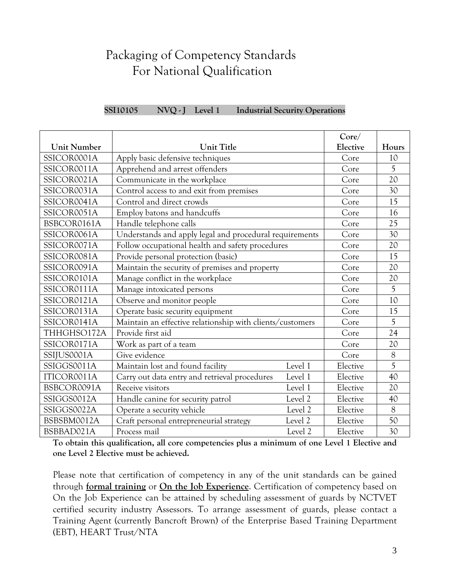# Packaging of Competency Standards For National Qualification

|                    |                                                           |         | Core/    |                |
|--------------------|-----------------------------------------------------------|---------|----------|----------------|
| <b>Unit Number</b> | <b>Unit Title</b>                                         |         | Elective | Hours          |
| SSICOR0001A        | Apply basic defensive techniques                          |         | Core     | 10             |
| SSICOR0011A        | Apprehend and arrest offenders                            |         | Core     | 5              |
| SSICOR0021A        | Communicate in the workplace                              |         | Core     | 20             |
| SSICOR0031A        | Control access to and exit from premises                  |         | Core     | 30             |
| SSICOR0041A        | Control and direct crowds                                 |         | Core     | 15             |
| SSICOR0051A        | Employ batons and handcuffs                               |         | Core     | 16             |
| BSBCOR0161A        | Handle telephone calls                                    |         | Core     | 25             |
| SSICOR0061A        | Understands and apply legal and procedural requirements   |         | Core     | 30             |
| SSICOR0071A        | Follow occupational health and safety procedures          |         | Core     | 20             |
| SSICOR0081A        | Provide personal protection (basic)                       |         | Core     | 15             |
| SSICOR0091A        | Maintain the security of premises and property            |         | Core     | 20             |
| SSICOR0101A        | Manage conflict in the workplace                          |         | Core     | 20             |
| SSICOR0111A        | Manage intoxicated persons                                |         | Core     | 5              |
| SSICOR0121A        | Observe and monitor people                                |         | Core     | 10             |
| SSICOR0131A        | Operate basic security equipment                          |         | Core     | 15             |
| SSICOR0141A        | Maintain an effective relationship with clients/customers |         | Core     | 5              |
| THHGHSO172A        | Provide first aid                                         |         | Core     | 24             |
| SSICOR0171A        | Work as part of a team                                    |         | Core     | 20             |
| SSIJUS0001A        | Give evidence                                             |         | Core     | $\overline{8}$ |
| SSIGGS0011A        | Maintain lost and found facility                          | Level 1 | Elective | $\overline{5}$ |
| ITICOR0011A        | Carry out data entry and retrieval procedures             | Level 1 | Elective | 40             |
| BSBCOR0091A        | Receive visitors                                          | Level 1 | Elective | 20             |
| SSIGGS0012A        | Handle canine for security patrol                         | Level 2 | Elective | 40             |
| SSIGGS0022A        | Operate a security vehicle                                | Level 2 | Elective | $\overline{8}$ |
| BSBSBM0012A        | Craft personal entrepreneurial strategy                   | Level 2 | Elective | 50             |
| BSBBAD021A         | Process mail                                              | Level 2 | Elective | 30             |

**SSI10105 NVQ - J Level 1 Industrial Security Operations**

**To obtain this qualification, all core competencies plus a minimum of one Level 1 Elective and one Level 2 Elective must be achieved.**

Please note that certification of competency in any of the unit standards can be gained through **formal training** or **On the Job Experience**. Certification of competency based on On the Job Experience can be attained by scheduling assessment of guards by NCTVET certified security industry Assessors. To arrange assessment of guards, please contact a Training Agent (currently Bancroft Brown) of the Enterprise Based Training Department (EBT), HEART Trust/NTA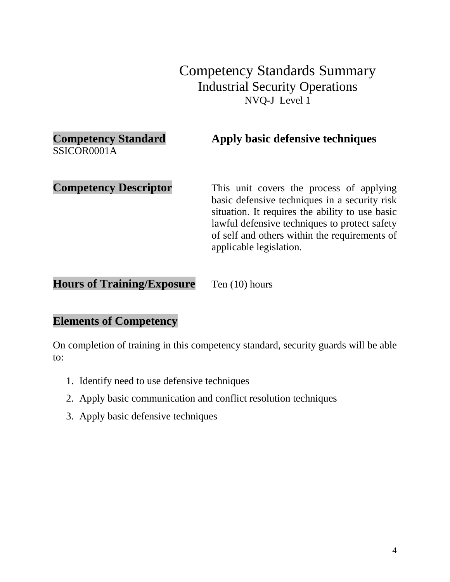# **Competency Standard Apply basic defensive techniques** SSICOR0001A **Competency Descriptor** This unit covers the process of applying basic defensive techniques in a security risk situation. It requires the ability to use basic lawful defensive techniques to protect safety of self and others within the requirements of applicable legislation.

**Hours of Training/Exposure** Ten (10) hours

#### **Elements of Competency**

- 1. Identify need to use defensive techniques
- 2. Apply basic communication and conflict resolution techniques
- 3. Apply basic defensive techniques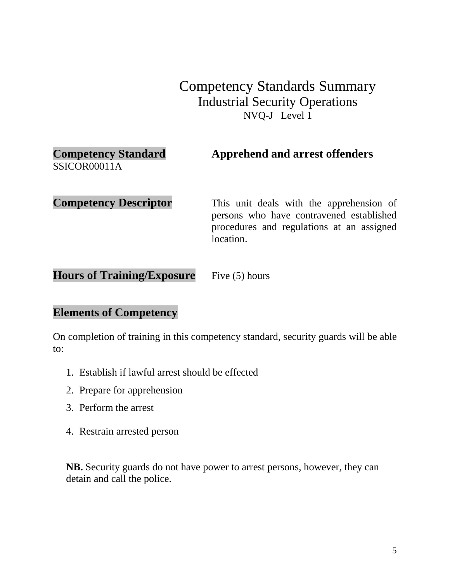| <b>Competency Standard</b> | <b>Apprehend and arrest offenders</b> |
|----------------------------|---------------------------------------|
| SSICOR00011A               |                                       |

**Competency Descriptor** This unit deals with the apprehension of persons who have contravened established procedures and regulations at an assigned location.

Hours of Training/Exposure Five (5) hours

#### **Elements of Competency**

On completion of training in this competency standard, security guards will be able to:

- 1. Establish if lawful arrest should be effected
- 2. Prepare for apprehension
- 3. Perform the arrest
- 4. Restrain arrested person

**NB.** Security guards do not have power to arrest persons, however, they can detain and call the police.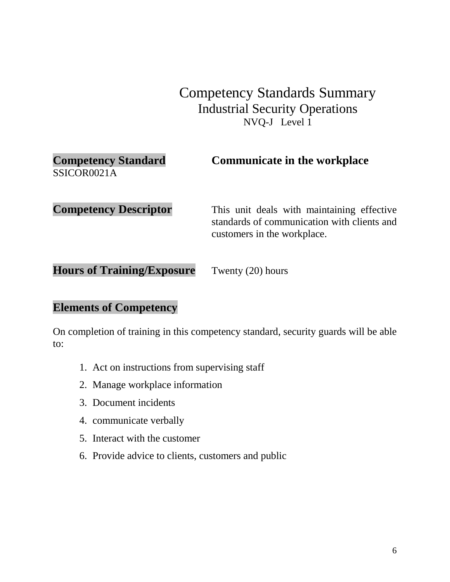| <b>Competency Standard</b><br>SSICOR0021A | <b>Communicate in the workplace</b>                                                                                      |
|-------------------------------------------|--------------------------------------------------------------------------------------------------------------------------|
| <b>Competency Descriptor</b>              | This unit deals with maintaining effective<br>standards of communication with clients and<br>customers in the workplace. |

**Hours of Training/Exposure** Twenty (20) hours

#### **Elements of Competency**

- 1. Act on instructions from supervising staff
- 2. Manage workplace information
- 3. Document incidents
- 4. communicate verbally
- 5. Interact with the customer
- 6. Provide advice to clients, customers and public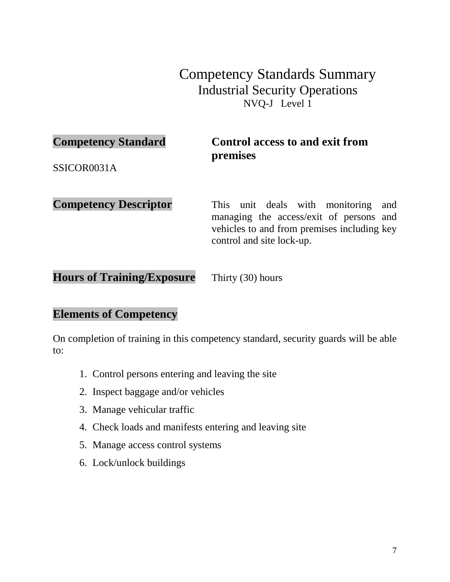#### **Competency Standard Control access to and exit from premises**

SSICOR0031A

**Competency Descriptor** This unit deals with monitoring and managing the access/exit of persons and vehicles to and from premises including key control and site lock-up.

**Hours of Training/Exposure** Thirty (30) hours

#### **Elements of Competency**

- 1. Control persons entering and leaving the site
- 2. Inspect baggage and/or vehicles
- 3. Manage vehicular traffic
- 4. Check loads and manifests entering and leaving site
- 5. Manage access control systems
- 6. Lock/unlock buildings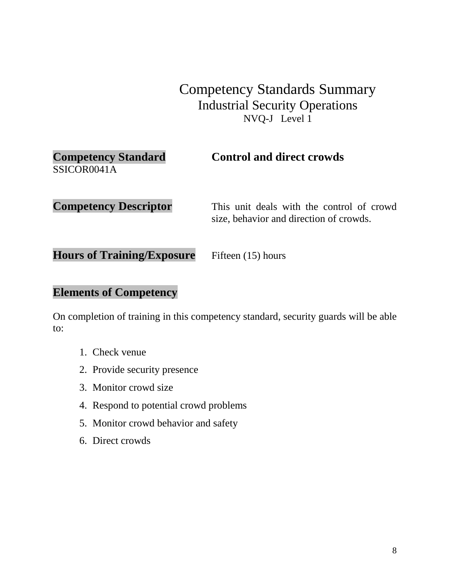| <b>Competency Standard</b><br>SSICOR0041A | <b>Control and direct crowds</b>                                                     |
|-------------------------------------------|--------------------------------------------------------------------------------------|
| <b>Competency Descriptor</b>              | This unit deals with the control of crowd<br>size, behavior and direction of crowds. |
| <b>Hours of Training/Exposure</b>         | Fifteen (15) hours                                                                   |

#### **Elements of Competency**

- 1. Check venue
- 2. Provide security presence
- 3. Monitor crowd size
- 4. Respond to potential crowd problems
- 5. Monitor crowd behavior and safety
- 6. Direct crowds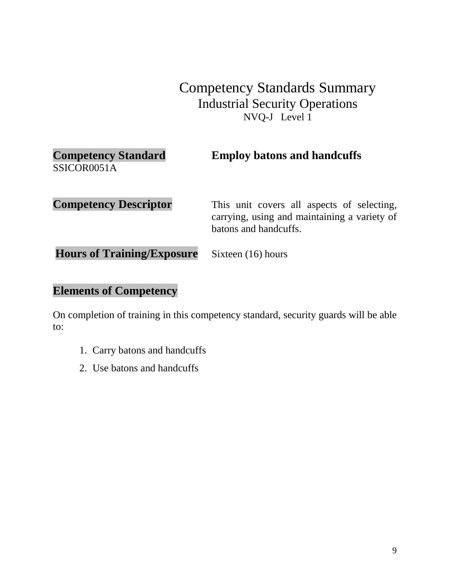| <b>Competency Standard</b><br>SSICOR0051A | <b>Employ batons and handcuffs</b>                                                                                  |
|-------------------------------------------|---------------------------------------------------------------------------------------------------------------------|
| <b>Competency Descriptor</b>              | This unit covers all aspects of selecting,<br>carrying, using and maintaining a variety of<br>batons and handcuffs. |
| <b>Hours of Training/Exposure</b>         | Sixteen (16) hours                                                                                                  |

# **Elements of Competency**

- 1. Carry batons and handcuffs
- 2. Use batons and handcuffs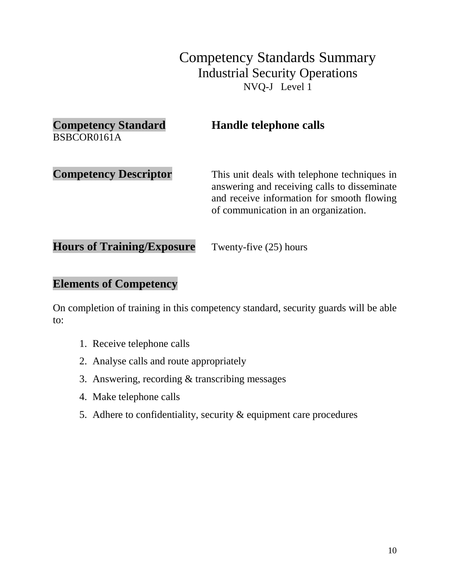| <b>Competency Standard</b><br>BSBCOR0161A | <b>Handle telephone calls</b>                                                                                                                                                      |
|-------------------------------------------|------------------------------------------------------------------------------------------------------------------------------------------------------------------------------------|
| <b>Competency Descriptor</b>              | This unit deals with telephone techniques in<br>answering and receiving calls to disseminate<br>and receive information for smooth flowing<br>of communication in an organization. |

**Hours of Training/Exposure** Twenty-five (25) hours

#### **Elements of Competency**

- 1. Receive telephone calls
- 2. Analyse calls and route appropriately
- 3. Answering, recording & transcribing messages
- 4. Make telephone calls
- 5. Adhere to confidentiality, security & equipment care procedures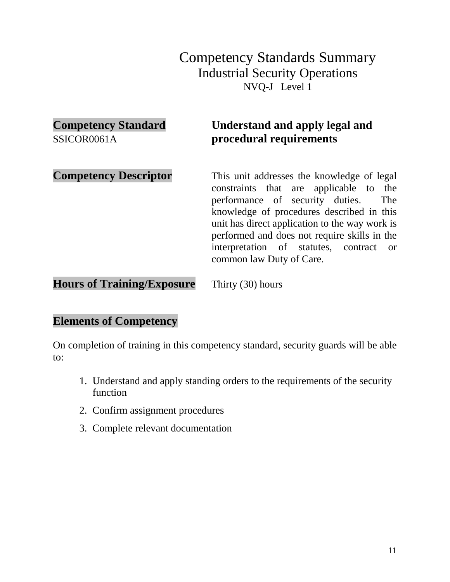# **Competency Standard Understand and apply legal and**  SSICOR0061A **procedural requirements Competency Descriptor** This unit addresses the knowledge of legal

constraints that are applicable to the performance of security duties. The knowledge of procedures described in this unit has direct application to the way work is performed and does not require skills in the interpretation of statutes, contract or common law Duty of Care.

**Hours of Training/Exposure** Thirty (30) hours

#### **Elements of Competency**

- 1. Understand and apply standing orders to the requirements of the security function
- 2. Confirm assignment procedures
- 3. Complete relevant documentation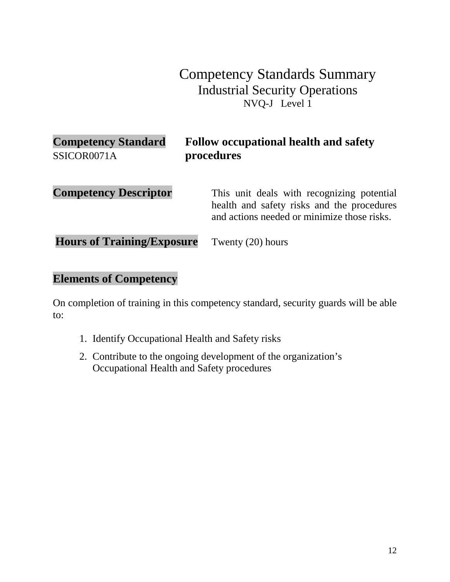| <b>Competency Standard</b><br>SSICOR0071A | <b>Follow occupational health and safety</b><br>procedures                                                                              |
|-------------------------------------------|-----------------------------------------------------------------------------------------------------------------------------------------|
| <b>Competency Descriptor</b>              | This unit deals with recognizing potential<br>health and safety risks and the procedures<br>and actions needed or minimize those risks. |
| <b>Hours of Training/Exposure</b>         | Twenty (20) hours                                                                                                                       |

### **Elements of Competency**

- 1. Identify Occupational Health and Safety risks
- 2. Contribute to the ongoing development of the organization's Occupational Health and Safety procedures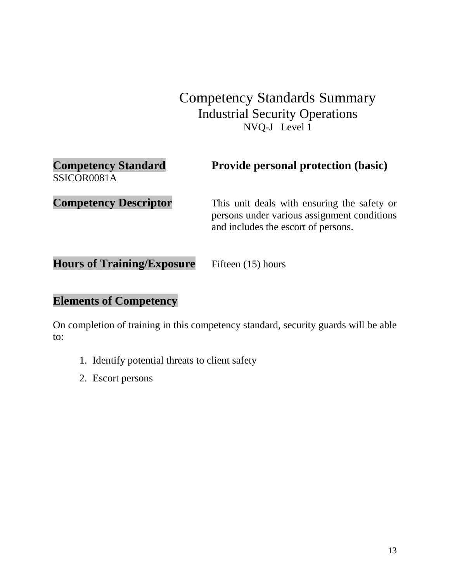| <b>Competency Standard</b><br>SSICOR0081A | <b>Provide personal protection (basic)</b>                                                                                        |
|-------------------------------------------|-----------------------------------------------------------------------------------------------------------------------------------|
| <b>Competency Descriptor</b>              | This unit deals with ensuring the safety or<br>persons under various assignment conditions<br>and includes the escort of persons. |

**Hours of Training/Exposure** Fifteen (15) hours

### **Elements of Competency**

- 1. Identify potential threats to client safety
- 2. Escort persons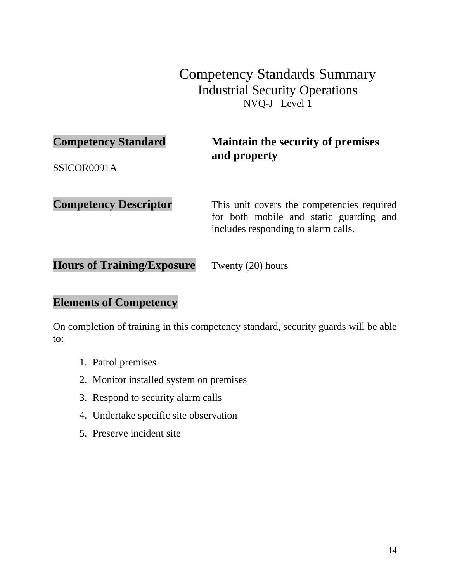### **Competency Standard Maintain the security of premises and property**

SSICOR0091A

**Competency Descriptor** This unit covers the competencies required for both mobile and static guarding and includes responding to alarm calls.

**Hours of Training/Exposure** Twenty (20) hours

#### **Elements of Competency**

- 1. Patrol premises
- 2. Monitor installed system on premises
- 3. Respond to security alarm calls
- 4. Undertake specific site observation
- 5. Preserve incident site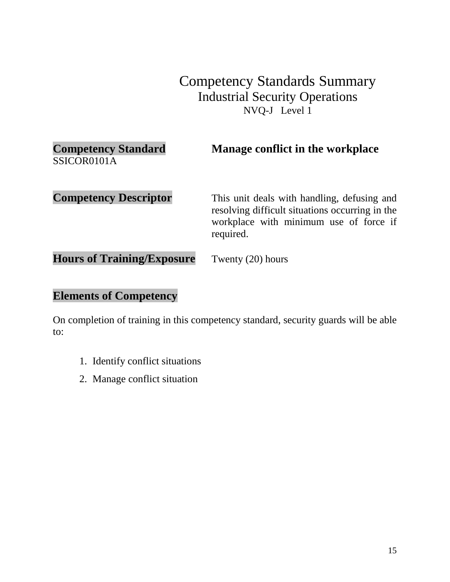| <b>Competency Standard</b>        | Manage conflict in the workplace                                                                                                                      |
|-----------------------------------|-------------------------------------------------------------------------------------------------------------------------------------------------------|
| SSICOR0101A                       |                                                                                                                                                       |
| <b>Competency Descriptor</b>      | This unit deals with handling, defusing and<br>resolving difficult situations occurring in the<br>workplace with minimum use of force if<br>required. |
| <b>Hours of Training/Exposure</b> | Twenty (20) hours                                                                                                                                     |

# **Elements of Competency**

- 1. Identify conflict situations
- 2. Manage conflict situation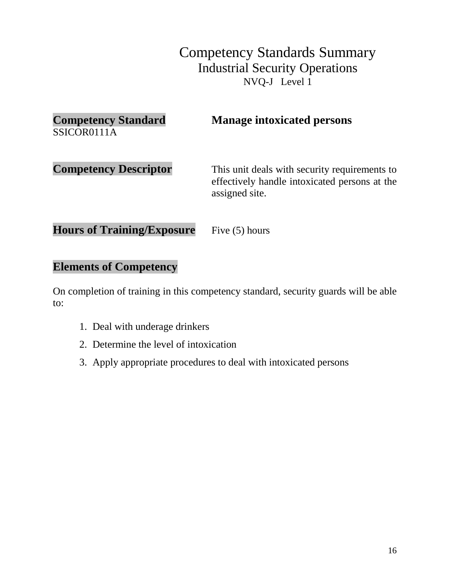| <b>Competency Standard</b><br>SSICOR0111A | <b>Manage intoxicated persons</b>                                                                                |
|-------------------------------------------|------------------------------------------------------------------------------------------------------------------|
| <b>Competency Descriptor</b>              | This unit deals with security requirements to<br>effectively handle intoxicated persons at the<br>assigned site. |
| <b>Hours of Training/Exposure</b>         | Five $(5)$ hours                                                                                                 |

#### **Elements of Competency**

- 1. Deal with underage drinkers
- 2. Determine the level of intoxication
- 3. Apply appropriate procedures to deal with intoxicated persons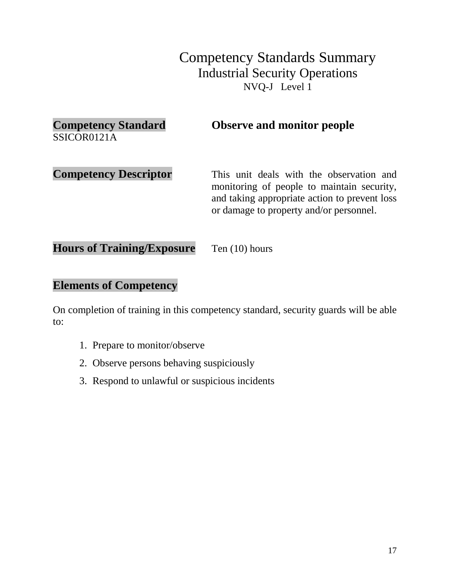| <b>Competency Standard</b><br>SSICOR0121A | <b>Observe and monitor people</b>                                                                                                                                                  |
|-------------------------------------------|------------------------------------------------------------------------------------------------------------------------------------------------------------------------------------|
| <b>Competency Descriptor</b>              | This unit deals with the observation and<br>monitoring of people to maintain security,<br>and taking appropriate action to prevent loss<br>or damage to property and/or personnel. |

Hours of Training/Exposure Ten (10) hours

### **Elements of Competency**

- 1. Prepare to monitor/observe
- 2. Observe persons behaving suspiciously
- 3. Respond to unlawful or suspicious incidents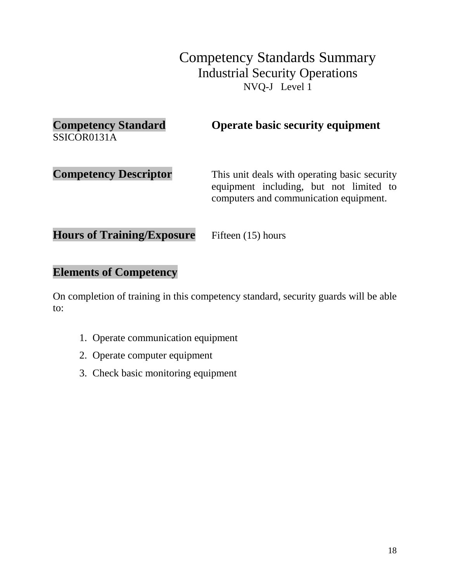| <b>Competency Standard</b><br>SSICOR0131A | <b>Operate basic security equipment</b>                                                                                            |
|-------------------------------------------|------------------------------------------------------------------------------------------------------------------------------------|
| <b>Competency Descriptor</b>              | This unit deals with operating basic security<br>equipment including, but not limited to<br>computers and communication equipment. |
| <b>Hours of Training/Exposure</b>         | Fifteen (15) hours                                                                                                                 |

#### **Elements of Competency**

- 1. Operate communication equipment
- 2. Operate computer equipment
- 3. Check basic monitoring equipment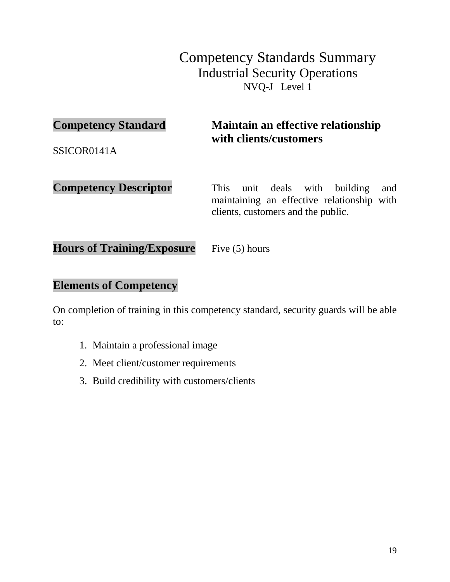### **Competency Standard Maintain an effective relationship with clients/customers**

SSICOR0141A

**Competency Descriptor** This unit deals with building and maintaining an effective relationship with clients, customers and the public.

Hours of Training/Exposure Five (5) hours

#### **Elements of Competency**

- 1. Maintain a professional image
- 2. Meet client/customer requirements
- 3. Build credibility with customers/clients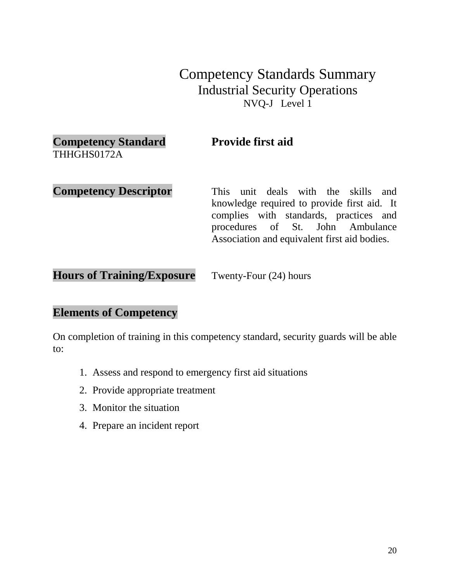# **Competency Standard Provide first aid**

THHGHS0172A

**Competency Descriptor** This unit deals with the skills and knowledge required to provide first aid. It complies with standards, practices and procedures of St. John Ambulance Association and equivalent first aid bodies.

**Hours of Training/Exposure** Twenty-Four (24) hours

#### **Elements of Competency**

- 1. Assess and respond to emergency first aid situations
- 2. Provide appropriate treatment
- 3. Monitor the situation
- 4. Prepare an incident report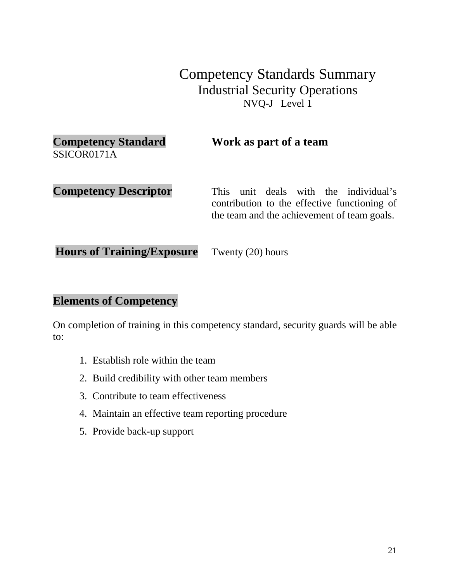#### **Competency Standard Work as part of a team** SSICOR0171A

**Competency Descriptor** This unit deals with the individual's contribution to the effective functioning of the team and the achievement of team goals.

**Hours of Training/Exposure** Twenty (20) hours

#### **Elements of Competency**

- 1. Establish role within the team
- 2. Build credibility with other team members
- 3. Contribute to team effectiveness
- 4. Maintain an effective team reporting procedure
- 5. Provide back-up support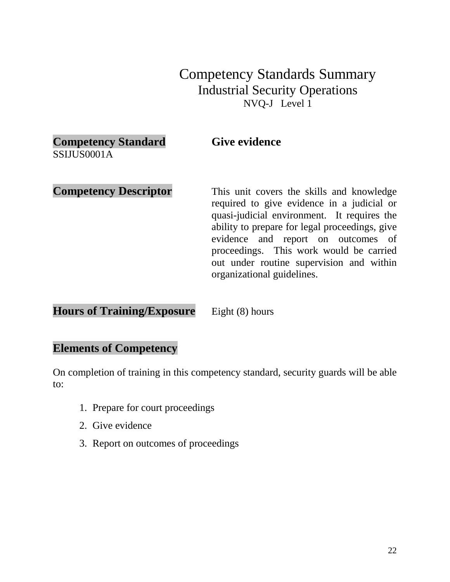# **Competency Standard Give evidence**

SSIJUS0001A

#### **Competency Descriptor** This unit covers the skills and knowledge required to give evidence in a judicial or quasi-judicial environment. It requires the ability to prepare for legal proceedings, give evidence and report on outcomes of proceedings. This work would be carried out under routine supervision and within organizational guidelines.

**Hours of Training/Exposure** Eight (8) hours

# **Elements of Competency**

- 1. Prepare for court proceedings
- 2. Give evidence
- 3. Report on outcomes of proceedings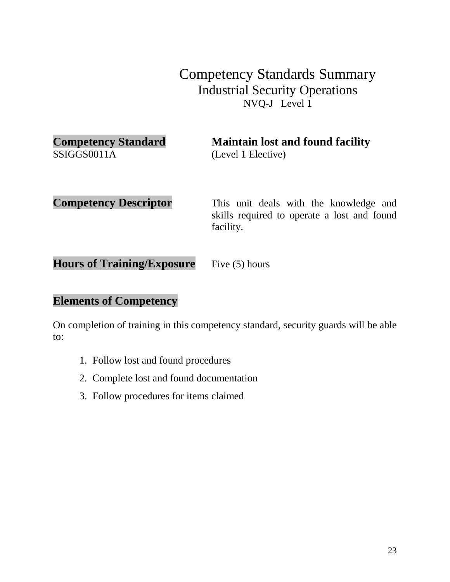SSIGGS0011A (Level 1 Elective)

**Competency Standard Maintain lost and found facility** 

**Competency Descriptor** This unit deals with the knowledge and skills required to operate a lost and found facility.

**Hours of Training/Exposure** Five (5) hours

#### **Elements of Competency**

- 1. Follow lost and found procedures
- 2. Complete lost and found documentation
- 3. Follow procedures for items claimed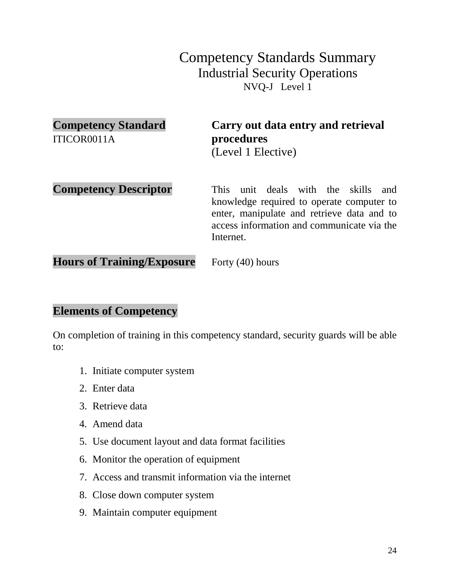| <b>Competency Standard</b><br>ITICOR0011A | Carry out data entry and retrieval<br>procedures<br>(Level 1 Elective)                                                                                                                          |
|-------------------------------------------|-------------------------------------------------------------------------------------------------------------------------------------------------------------------------------------------------|
| <b>Competency Descriptor</b>              | unit deals with the skills<br>This<br>and<br>knowledge required to operate computer to<br>enter, manipulate and retrieve data and to<br>access information and communicate via the<br>Internet. |
| <b>Hours of Training/Exposure</b>         | Forty $(40)$ hours                                                                                                                                                                              |

#### **Elements of Competency**

- 1. Initiate computer system
- 2. Enter data
- 3. Retrieve data
- 4. Amend data
- 5. Use document layout and data format facilities
- 6. Monitor the operation of equipment
- 7. Access and transmit information via the internet
- 8. Close down computer system
- 9. Maintain computer equipment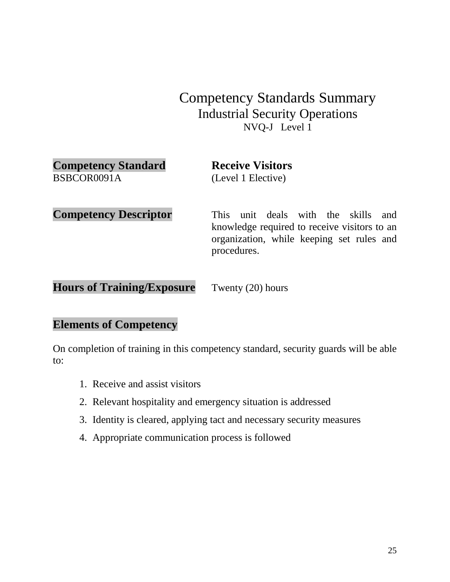| <b>Competency Standard</b>        | <b>Receive Visitors</b>                                                                                                                                      |
|-----------------------------------|--------------------------------------------------------------------------------------------------------------------------------------------------------------|
| BSBCOR0091A                       | (Level 1 Elective)                                                                                                                                           |
| <b>Competency Descriptor</b>      | unit deals with the skills<br><b>This</b><br>and<br>knowledge required to receive visitors to an<br>organization, while keeping set rules and<br>procedures. |
| <b>Hours of Training/Exposure</b> | Twenty (20) hours                                                                                                                                            |

#### **Elements of Competency**

- 1. Receive and assist visitors
- 2. Relevant hospitality and emergency situation is addressed
- 3. Identity is cleared, applying tact and necessary security measures
- 4. Appropriate communication process is followed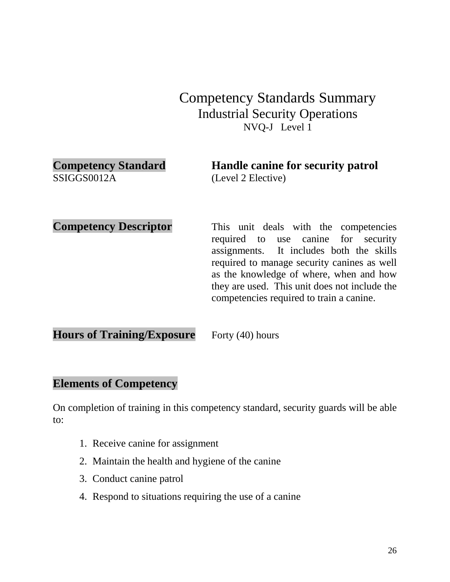| <b>Competency Standard</b> | Handle canine for security patrol |
|----------------------------|-----------------------------------|
| SSIGGS0012A                | (Level 2 Elective)                |

**Competency Descriptor** This unit deals with the competencies required to use canine for security assignments. It includes both the skills required to manage security canines as well as the knowledge of where, when and how they are used. This unit does not include the competencies required to train a canine.

**Hours of Training/Exposure** Forty (40) hours

#### **Elements of Competency**

- 1. Receive canine for assignment
- 2. Maintain the health and hygiene of the canine
- 3. Conduct canine patrol
- 4. Respond to situations requiring the use of a canine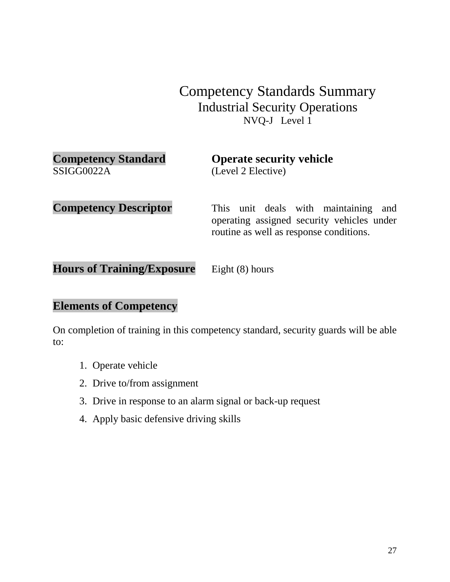| <b>Competency Standard</b> |  |
|----------------------------|--|
| SSIGG0022A                 |  |

**Operate security vehicle** (Level 2 Elective)

**Competency Descriptor** This unit deals with maintaining and operating assigned security vehicles under routine as well as response conditions.

Hours of Training/Exposure Eight (8) hours

#### **Elements of Competency**

- 1. Operate vehicle
- 2. Drive to/from assignment
- 3. Drive in response to an alarm signal or back-up request
- 4. Apply basic defensive driving skills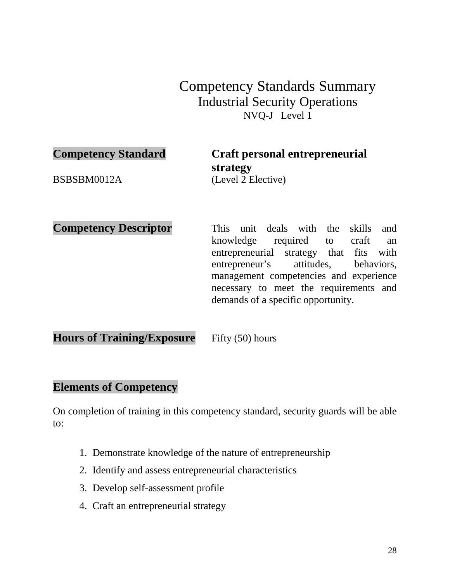**Competency Standard Craft personal entrepreneurial strategy** BSBSBM0012A (Level 2 Elective)

**Competency Descriptor** This unit deals with the skills and

knowledge required to craft an entrepreneurial strategy that fits with entrepreneur's attitudes, behaviors, management competencies and experience necessary to meet the requirements and demands of a specific opportunity.

**Hours of Training/Exposure** Fifty (50) hours

#### **Elements of Competency**

- 1. Demonstrate knowledge of the nature of entrepreneurship
- 2. Identify and assess entrepreneurial characteristics
- 3. Develop self-assessment profile
- 4. Craft an entrepreneurial strategy